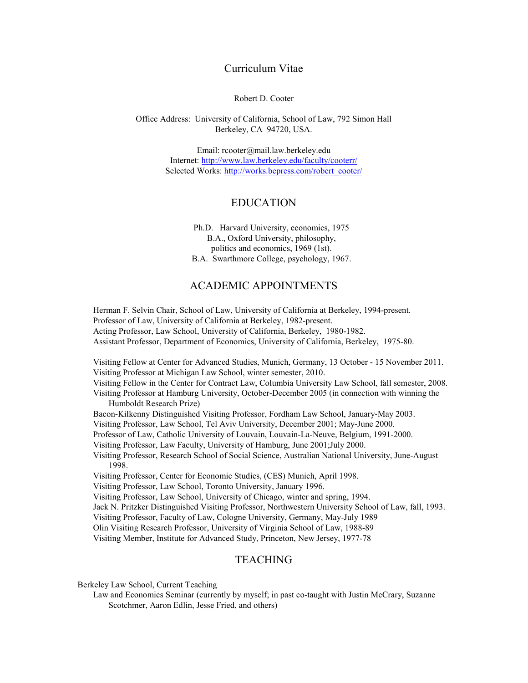#### Curriculum Vitae

Robert D. Cooter

Office Address: University of California, School of Law, 792 Simon Hall Berkeley, CA 94720, USA.

> Email: rcooter@mail.law.berkeley.edu Internet:<http://www.law.berkeley.edu/faculty/cooterr/> Selected Works: [http://works.bepress.com/robert\\_cooter/](http://works.bepress.com/robert_cooter/)

### EDUCATION

Ph.D. Harvard University, economics, 1975 B.A., Oxford University, philosophy, politics and economics, 1969 (1st). B.A. Swarthmore College, psychology, 1967.

## ACADEMIC APPOINTMENTS

Herman F. Selvin Chair, School of Law, University of California at Berkeley, 1994-present. Professor of Law, University of California at Berkeley, 1982-present. Acting Professor, Law School, University of California, Berkeley, 1980-1982. Assistant Professor, Department of Economics, University of California, Berkeley, 1975-80.

Visiting Fellow at Center for Advanced Studies, Munich, Germany, 13 October - 15 November 2011. Visiting Professor at Michigan Law School, winter semester, 2010.

Visiting Fellow in the Center for Contract Law, Columbia University Law School, fall semester, 2008.

Visiting Professor at Hamburg University, October-December 2005 (in connection with winning the Humboldt Research Prize)

Bacon-Kilkenny Distinguished Visiting Professor, Fordham Law School, January-May 2003.

Visiting Professor, Law School, Tel Aviv University, December 2001; May-June 2000.

Professor of Law, Catholic University of Louvain, Louvain-La-Neuve, Belgium, 1991-2000.

Visiting Professor, Law Faculty, University of Hamburg, June 2001;July 2000.

Visiting Professor, Research School of Social Science, Australian National University, June-August 1998.

Visiting Professor, Center for Economic Studies, (CES) Munich, April 1998.

Visiting Professor, Law School, Toronto University, January 1996.

Visiting Professor, Law School, University of Chicago, winter and spring, 1994.

Jack N. Pritzker Distinguished Visiting Professor, Northwestern University School of Law, fall, 1993.

Visiting Professor, Faculty of Law, Cologne University, Germany, May-July 1989

Olin Visiting Research Professor, University of Virginia School of Law, 1988-89

Visiting Member, Institute for Advanced Study, Princeton, New Jersey, 1977-78

## TEACHING

Berkeley Law School, Current Teaching

Law and Economics Seminar (currently by myself; in past co-taught with Justin McCrary, Suzanne Scotchmer, Aaron Edlin, Jesse Fried, and others)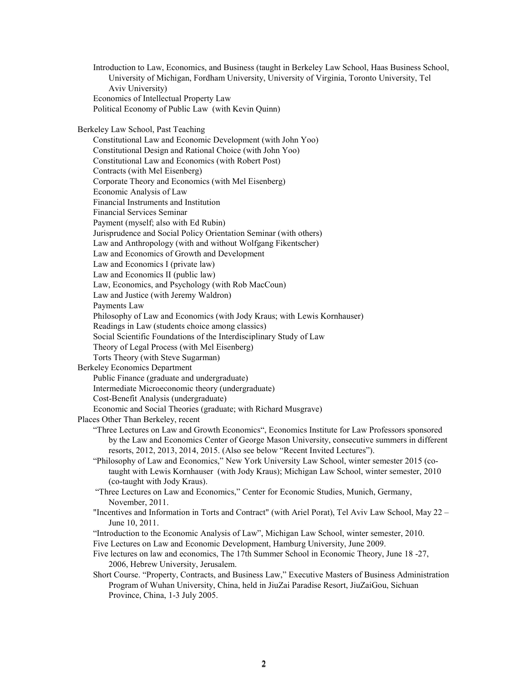Introduction to Law, Economics, and Business (taught in Berkeley Law School, Haas Business School, University of Michigan, Fordham University, University of Virginia, Toronto University, Tel Aviv University) Economics of Intellectual Property Law Political Economy of Public Law (with Kevin Quinn)

Berkeley Law School, Past Teaching

Constitutional Law and Economic Development (with John Yoo) Constitutional Design and Rational Choice (with John Yoo) Constitutional Law and Economics (with Robert Post) Contracts (with Mel Eisenberg) Corporate Theory and Economics (with Mel Eisenberg) Economic Analysis of Law Financial Instruments and Institution Financial Services Seminar Payment (myself; also with Ed Rubin) Jurisprudence and Social Policy Orientation Seminar (with others) Law and Anthropology (with and without Wolfgang Fikentscher) Law and Economics of Growth and Development Law and Economics I (private law) Law and Economics II (public law) Law, Economics, and Psychology (with Rob MacCoun) Law and Justice (with Jeremy Waldron) Payments Law Philosophy of Law and Economics (with Jody Kraus; with Lewis Kornhauser) Readings in Law (students choice among classics) Social Scientific Foundations of the Interdisciplinary Study of Law Theory of Legal Process (with Mel Eisenberg) Torts Theory (with Steve Sugarman) Berkeley Economics Department Public Finance (graduate and undergraduate) Intermediate Microeconomic theory (undergraduate) Cost-Benefit Analysis (undergraduate) Economic and Social Theories (graduate; with Richard Musgrave) Places Other Than Berkeley, recent "Three Lectures on Law and Growth Economics", Economics Institute for Law Professors sponsored by the Law and Economics Center of George Mason University, consecutive summers in different resorts, 2012, 2013, 2014, 2015. (Also see below "Recent Invited Lectures"). "Philosophy of Law and Economics," New York University Law School, winter semester 2015 (cotaught with Lewis Kornhauser (with Jody Kraus); Michigan Law School, winter semester, 2010 (co-taught with Jody Kraus). "Three Lectures on Law and Economics," Center for Economic Studies, Munich, Germany, November, 2011. "Incentives and Information in Torts and Contract" (with Ariel Porat), Tel Aviv Law School, May 22 – June 10, 2011. "Introduction to the Economic Analysis of Law", Michigan Law School, winter semester, 2010. Five Lectures on Law and Economic Development, Hamburg University, June 2009. Five lectures on law and economics, The 17th Summer School in Economic Theory, June 18 -27, 2006, Hebrew University, Jerusalem. Short Course. "Property, Contracts, and Business Law," Executive Masters of Business Administration Program of Wuhan University, China, held in JiuZai Paradise Resort, JiuZaiGou, Sichuan Province, China, 1-3 July 2005.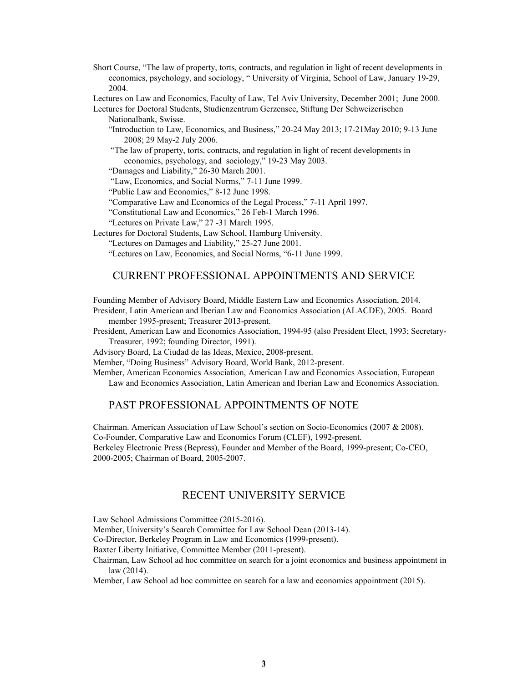Short Course, "The law of property, torts, contracts, and regulation in light of recent developments in economics, psychology, and sociology, " University of Virginia, School of Law, January 19-29, 2004.

Lectures on Law and Economics, Faculty of Law, Tel Aviv University, December 2001; June 2000.

Lectures for Doctoral Students, Studienzentrum Gerzensee, Stiftung Der Schweizerischen Nationalbank, Swisse.

"Introduction to Law, Economics, and Business," 20-24 May 2013; 17-21May 2010; 9-13 June 2008; 29 May-2 July 2006.

"The law of property, torts, contracts, and regulation in light of recent developments in economics, psychology, and sociology," 19-23 May 2003.

"Damages and Liability," 26-30 March 2001.

"Law, Economics, and Social Norms," 7-11 June 1999.

"Public Law and Economics," 8-12 June 1998.

"Comparative Law and Economics of the Legal Process," 7-11 April 1997.

"Constitutional Law and Economics," 26 Feb-1 March 1996.

"Lectures on Private Law," 27 -31 March 1995.

Lectures for Doctoral Students, Law School, Hamburg University.

"Lectures on Damages and Liability," 25-27 June 2001.

"Lectures on Law, Economics, and Social Norms, "6-11 June 1999.

### CURRENT PROFESSIONAL APPOINTMENTS AND SERVICE

Founding Member of Advisory Board, Middle Eastern Law and Economics Association, 2014.

- President, Latin American and Iberian Law and Economics Association (ALACDE), 2005. Board member 1995-present; Treasurer 2013-present.
- President, American Law and Economics Association, 1994-95 (also President Elect, 1993; Secretary-Treasurer, 1992; founding Director, 1991).

Advisory Board, La Ciudad de las Ideas, Mexico, 2008-present.

Member, "Doing Business" Advisory Board, World Bank, 2012-present.

Member, American Economics Association, American Law and Economics Association, European Law and Economics Association, Latin American and Iberian Law and Economics Association.

# PAST PROFESSIONAL APPOINTMENTS OF NOTE

Chairman. American Association of Law School's section on Socio-Economics (2007 & 2008). Co-Founder, Comparative Law and Economics Forum (CLEF), 1992-present. Berkeley Electronic Press (Bepress), Founder and Member of the Board, 1999-present; Co-CEO, 2000-2005; Chairman of Board, 2005-2007.

## RECENT UNIVERSITY SERVICE

Law School Admissions Committee (2015-2016).

Member, University's Search Committee for Law School Dean (2013-14).

Co-Director, Berkeley Program in Law and Economics (1999-present).

Baxter Liberty Initiative, Committee Member (2011-present).

Chairman, Law School ad hoc committee on search for a joint economics and business appointment in law (2014).

Member, Law School ad hoc committee on search for a law and economics appointment (2015).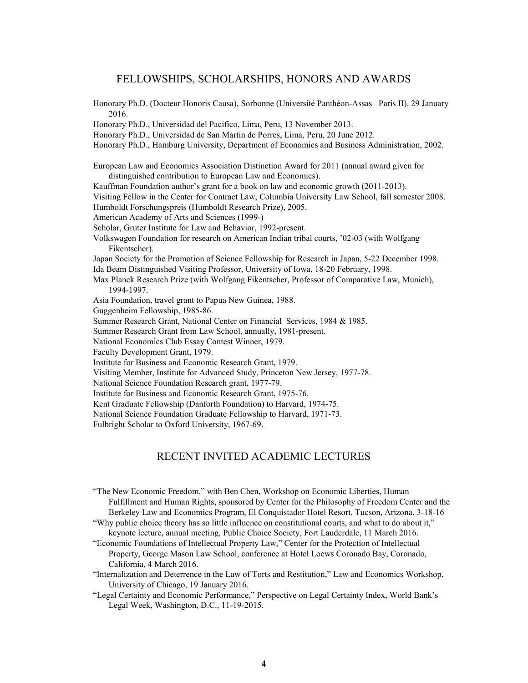### FELLOWSHIPS, SCHOLARSHIPS, HONORS AND AWARDS

Honorary Ph.D. (Docteur Honoris Causa), Sorbonne (Université Panthéon-Assas –Paris II), 29 January 2016. Honorary Ph.D., Universidad del Pacifico, Lima, Peru, 13 November 2013. Honorary Ph.D., Universidad de San Martin de Porres, Lima, Peru, 20 June 2012. Honorary Ph.D., Hamburg University, Department of Economics and Business Administration, 2002. European Law and Economics Association Distinction Award for 2011 (annual award given for distinguished contribution to European Law and Economics). Kauffman Foundation author's grant for a book on law and economic growth (2011-2013). Visiting Fellow in the Center for Contract Law, Columbia University Law School, fall semester 2008. Humboldt Forschungspreis (Humboldt Research Prize), 2005. American Academy of Arts and Sciences (1999-) Scholar, Gruter Institute for Law and Behavior, 1992-present. Volkswagen Foundation for research on American Indian tribal courts, '02-03 (with Wolfgang Fikentscher). Japan Society for the Promotion of Science Fellowship for Research in Japan, 5-22 December 1998. Ida Beam Distinguished Visiting Professor, University of Iowa, 18-20 February, 1998. Max Planck Research Prize (with Wolfgang Fikentscher, Professor of Comparative Law, Munich), 1994-1997. Asia Foundation, travel grant to Papua New Guinea, 1988. Guggenheim Fellowship, 1985-86. Summer Research Grant, National Center on Financial Services, 1984 & 1985. Summer Research Grant from Law School, annually, 1981-present. National Economics Club Essay Contest Winner, 1979. Faculty Development Grant, 1979. Institute for Business and Economic Research Grant, 1979. Visiting Member, Institute for Advanced Study, Princeton New Jersey, 1977-78. National Science Foundation Research grant, 1977-79. Institute for Business and Economic Research Grant, 1975-76. Kent Graduate Fellowship (Danforth Foundation) to Harvard, 1974-75. National Science Foundation Graduate Fellowship to Harvard, 1971-73. Fulbright Scholar to Oxford University, 1967-69.

## RECENT INVITED ACADEMIC LECTURES

"The New Economic Freedom," with Ben Chen, Workshop on Economic Liberties, Human Fulfillment and Human Rights, sponsored by Center for the Philosophy of Freedom Center and the Berkeley Law and Economics Program, El Conquistador Hotel Resort, Tucson, Arizona, 3-18-16

"Why public choice theory has so little influence on constitutional courts, and what to do about it," keynote lecture, annual meeting, Public Choice Society, Fort Lauderdale, 11 March 2016.

"Economic Foundations of Intellectual Property Law," Center for the Protection of Intellectual Property, George Mason Law School, conference at Hotel Loews Coronado Bay, Coronado, California, 4 March 2016.

"Internalization and Deterrence in the Law of Torts and Restitution," Law and Economics Workshop, University of Chicago, 19 January 2016.

"Legal Certainty and Economic Performance," Perspective on Legal Certainty Index, World Bank's Legal Week, Washington, D.C., 11-19-2015.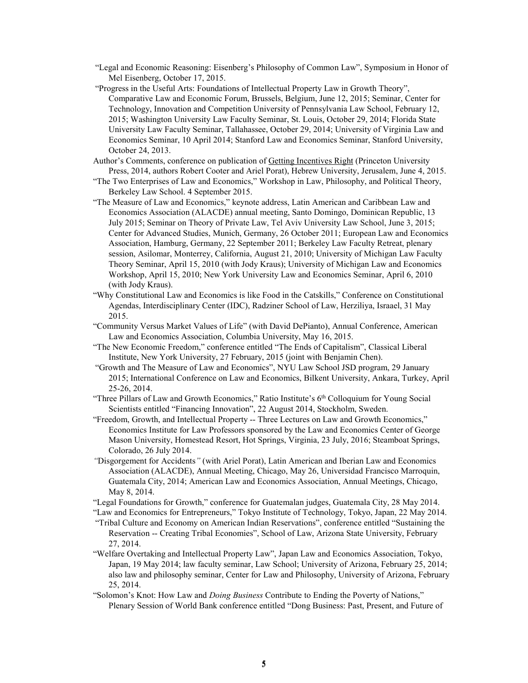- "Legal and Economic Reasoning: Eisenberg's Philosophy of Common Law", Symposium in Honor of Mel Eisenberg, October 17, 2015.
- "Progress in the Useful Arts: Foundations of Intellectual Property Law in Growth Theory", Comparative Law and Economic Forum, Brussels, Belgium, June 12, 2015; Seminar, Center for Technology, Innovation and Competition University of Pennsylvania Law School, February 12, 2015; Washington University Law Faculty Seminar, St. Louis, October 29, 2014; Florida State University Law Faculty Seminar, Tallahassee, October 29, 2014; University of Virginia Law and Economics Seminar, 10 April 2014; Stanford Law and Economics Seminar, Stanford University, October 24, 2013.
- Author's Comments, conference on publication of Getting Incentives Right (Princeton University Press, 2014, authors Robert Cooter and Ariel Porat), Hebrew University, Jerusalem, June 4, 2015.
- "The Two Enterprises of Law and Economics," Workshop in Law, Philosophy, and Political Theory, Berkeley Law School. 4 September 2015.
- "The Measure of Law and Economics," keynote address, Latin American and Caribbean Law and Economics Association (ALACDE) annual meeting, Santo Domingo, Dominican Republic, 13 July 2015; Seminar on Theory of Private Law, Tel Aviv University Law School, June 3, 2015; Center for Advanced Studies, Munich, Germany, 26 October 2011; European Law and Economics Association, Hamburg, Germany, 22 September 2011; Berkeley Law Faculty Retreat, plenary session, Asilomar, Monterrey, California, August 21, 2010; University of Michigan Law Faculty Theory Seminar, April 15, 2010 (with Jody Kraus); University of Michigan Law and Economics Workshop, April 15, 2010; New York University Law and Economics Seminar, April 6, 2010 (with Jody Kraus).
- "Why Constitutional Law and Economics is like Food in the Catskills," Conference on Constitutional Agendas, Interdisciplinary Center (IDC), Radziner School of Law, Herziliya, Israael, 31 May 2015.
- "Community Versus Market Values of Life" (with David DePianto), Annual Conference, American Law and Economics Association, Columbia University, May 16, 2015.
- "The New Economic Freedom," conference entitled "The Ends of Capitalism", Classical Liberal Institute, New York University, 27 February, 2015 (joint with Benjamin Chen).
- "Growth and The Measure of Law and Economics", NYU Law School JSD program, 29 January 2015; International Conference on Law and Economics, Bilkent University, Ankara, Turkey, April 25-26, 2014.
- "Three Pillars of Law and Growth Economics," Ratio Institute's  $6<sup>th</sup>$  Colloquium for Young Social Scientists entitled "Financing Innovation", 22 August 2014, Stockholm, Sweden.
- "Freedom, Growth, and Intellectual Property -- Three Lectures on Law and Growth Economics," Economics Institute for Law Professors sponsored by the Law and Economics Center of George Mason University, Homestead Resort, Hot Springs, Virginia, 23 July, 2016; Steamboat Springs, Colorado, 26 July 2014.
- *"*Disgorgement for Accidents*"* (with Ariel Porat), Latin American and Iberian Law and Economics Association (ALACDE), Annual Meeting, Chicago, May 26, Universidad Francisco Marroquin, Guatemala City, 2014; American Law and Economics Association, Annual Meetings, Chicago, May 8, 2014.
- "Legal Foundations for Growth," conference for Guatemalan judges, Guatemala City, 28 May 2014.

"Law and Economics for Entrepreneurs," Tokyo Institute of Technology, Tokyo, Japan, 22 May 2014.

- "Tribal Culture and Economy on American Indian Reservations", conference entitled "Sustaining the Reservation -- Creating Tribal Economies", School of Law, Arizona State University, February 27, 2014.
- "Welfare Overtaking and Intellectual Property Law", Japan Law and Economics Association, Tokyo, Japan, 19 May 2014; law faculty seminar, Law School; University of Arizona, February 25, 2014; also law and philosophy seminar, Center for Law and Philosophy, University of Arizona, February 25, 2014.
- "Solomon's Knot: How Law and *Doing Business* Contribute to Ending the Poverty of Nations," Plenary Session of World Bank conference entitled "Dong Business: Past, Present, and Future of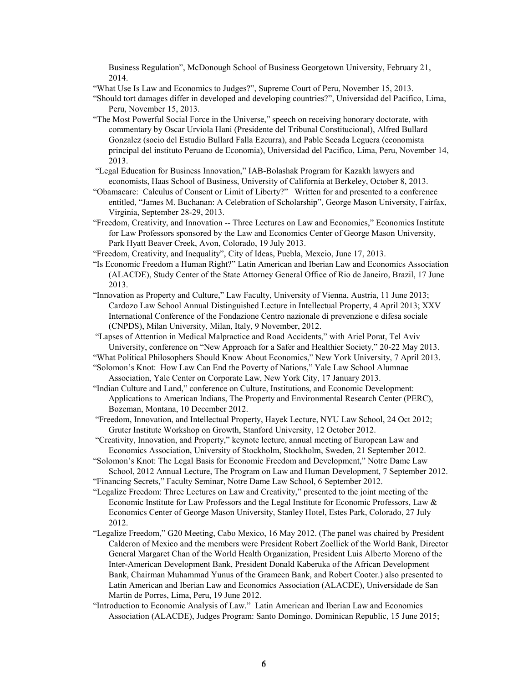Business Regulation", McDonough School of Business Georgetown University, February 21, 2014.

"What Use Is Law and Economics to Judges?", Supreme Court of Peru, November 15, 2013.

- "Should tort damages differ in developed and developing countries?", Universidad del Pacifico, Lima, Peru, November 15, 2013.
- "The Most Powerful Social Force in the Universe," speech on receiving honorary doctorate, with commentary by Oscar Urviola Hani (Presidente del Tribunal Constitucional), Alfred Bullard Gonzalez (socio del Estudio Bullard Falla Ezcurra), and Pable Secada Leguera (economista principal del instituto Peruano de Economia), Universidad del Pacifico, Lima, Peru, November 14, 2013.
- "Legal Education for Business Innovation," IAB-Bolashak Program for Kazakh lawyers and economists, Haas School of Business, University of California at Berkeley, October 8, 2013.
- "Obamacare: Calculus of Consent or Limit of Liberty?" Written for and presented to a conference entitled, "James M. Buchanan: A Celebration of Scholarship", George Mason University, Fairfax, Virginia, September 28-29, 2013.
- "Freedom, Creativity, and Innovation -- Three Lectures on Law and Economics," Economics Institute for Law Professors sponsored by the Law and Economics Center of George Mason University, Park Hyatt Beaver Creek, Avon, Colorado, 19 July 2013.
- "Freedom, Creativity, and Inequality", City of Ideas, Puebla, Mexcio, June 17, 2013.
- "Is Economic Freedom a Human Right?" Latin American and Iberian Law and Economics Association (ALACDE), Study Center of the State Attorney General Office of Rio de Janeiro, Brazil, 17 June 2013.
- "Innovation as Property and Culture," Law Faculty, University of Vienna, Austria, 11 June 2013; Cardozo Law School Annual Distinguished Lecture in Intellectual Property, 4 April 2013; XXV International Conference of the Fondazione Centro nazionale di prevenzione e difesa sociale (CNPDS), Milan University, Milan, Italy, 9 November, 2012.
- "Lapses of Attention in Medical Malpractice and Road Accidents," with Ariel Porat, Tel Aviv University, conference on "New Approach for a Safer and Healthier Society," 20-22 May 2013.
- "What Political Philosophers Should Know About Economics," New York University, 7 April 2013.
- "Solomon's Knot: How Law Can End the Poverty of Nations," Yale Law School Alumnae Association, Yale Center on Corporate Law, New York City, 17 January 2013.
- "Indian Culture and Land," conference on Culture, Institutions, and Economic Development: Applications to American Indians, The Property and Environmental Research Center (PERC), Bozeman, Montana, 10 December 2012.
- "Freedom, Innovation, and Intellectual Property, Hayek Lecture, NYU Law School, 24 Oct 2012; Gruter Institute Workshop on Growth, Stanford University, 12 October 2012.
- "Creativity, Innovation, and Property," keynote lecture, annual meeting of European Law and Economics Association, University of Stockholm, Stockholm, Sweden, 21 September 2012.
- "Solomon's Knot: The Legal Basis for Economic Freedom and Development," Notre Dame Law School, 2012 Annual Lecture, The Program on Law and Human Development, 7 September 2012.
- "Financing Secrets," Faculty Seminar, Notre Dame Law School, 6 September 2012.
- "Legalize Freedom: Three Lectures on Law and Creativity," presented to the joint meeting of the Economic Institute for Law Professors and the Legal Institute for Economic Professors, Law & Economics Center of George Mason University, Stanley Hotel, Estes Park, Colorado, 27 July 2012.
- "Legalize Freedom," G20 Meeting, Cabo Mexico, 16 May 2012. (The panel was chaired by President Calderon of Mexico and the members were President Robert Zoellick of the World Bank, Director General Margaret Chan of the World Health Organization, President Luis Alberto Moreno of the Inter-American Development Bank, President Donald Kaberuka of the African Development Bank, Chairman Muhammad Yunus of the Grameen Bank, and Robert Cooter.) also presented to Latin American and Iberian Law and Economics Association (ALACDE), Universidade de San Martin de Porres, Lima, Peru, 19 June 2012.
- "Introduction to Economic Analysis of Law." Latin American and Iberian Law and Economics Association (ALACDE), Judges Program: Santo Domingo, Dominican Republic, 15 June 2015;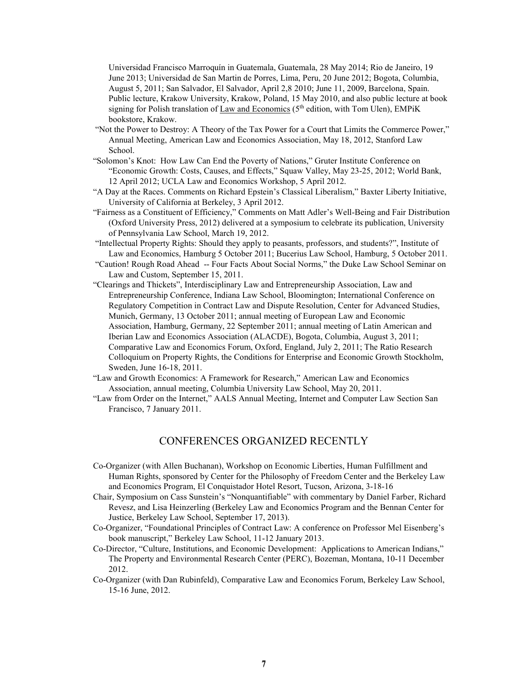Universidad Francisco Marroquín in Guatemala, Guatemala, 28 May 2014; Rio de Janeiro, 19 June 2013; Universidad de San Martin de Porres, Lima, Peru, 20 June 2012; Bogota, Columbia, August 5, 2011; San Salvador, El Salvador, April 2,8 2010; June 11, 2009, Barcelona, Spain. Public lecture, Krakow University, Krakow, Poland, 15 May 2010, and also public lecture at book signing for Polish translation of Law and Economics ( $5<sup>th</sup>$  edition, with Tom Ulen), EMPiK bookstore, Krakow.

- "Not the Power to Destroy: A Theory of the Tax Power for a Court that Limits the Commerce Power," Annual Meeting, American Law and Economics Association, May 18, 2012, Stanford Law School.
- "Solomon's Knot: How Law Can End the Poverty of Nations," Gruter Institute Conference on "Economic Growth: Costs, Causes, and Effects," Squaw Valley, May 23-25, 2012; World Bank, 12 April 2012; UCLA Law and Economics Workshop, 5 April 2012.
- "A Day at the Races. Comments on Richard Epstein's Classical Liberalism," Baxter Liberty Initiative, University of California at Berkeley, 3 April 2012.
- "Fairness as a Constituent of Efficiency," Comments on Matt Adler's Well-Being and Fair Distribution (Oxford University Press, 2012) delivered at a symposium to celebrate its publication, University of Pennsylvania Law School, March 19, 2012.
- "Intellectual Property Rights: Should they apply to peasants, professors, and students?", Institute of Law and Economics, Hamburg 5 October 2011; Bucerius Law School, Hamburg, 5 October 2011.
- "Caution! Rough Road Ahead -- Four Facts About Social Norms," the Duke Law School Seminar on Law and Custom, September 15, 2011.
- "Clearings and Thickets", Interdisciplinary Law and Entrepreneurship Association, Law and Entrepreneurship Conference, Indiana Law School, Bloomington; International Conference on Regulatory Competition in Contract Law and Dispute Resolution, Center for Advanced Studies, Munich, Germany, 13 October 2011; annual meeting of European Law and Economic Association, Hamburg, Germany, 22 September 2011; annual meeting of Latin American and Iberian Law and Economics Association (ALACDE), Bogota, Columbia, August 3, 2011; Comparative Law and Economics Forum, Oxford, England, July 2, 2011; The Ratio Research Colloquium on Property Rights, the Conditions for Enterprise and Economic Growth Stockholm, Sweden, June 16-18, 2011.
- "Law and Growth Economics: A Framework for Research," American Law and Economics Association, annual meeting, Columbia University Law School, May 20, 2011.
- "Law from Order on the Internet," AALS Annual Meeting, Internet and Computer Law Section San Francisco, 7 January 2011.

## CONFERENCES ORGANIZED RECENTLY

- Co-Organizer (with Allen Buchanan), Workshop on Economic Liberties, Human Fulfillment and Human Rights, sponsored by Center for the Philosophy of Freedom Center and the Berkeley Law and Economics Program, El Conquistador Hotel Resort, Tucson, Arizona, 3-18-16
- Chair, Symposium on Cass Sunstein's "Nonquantifiable" with commentary by Daniel Farber, Richard Revesz, and Lisa Heinzerling (Berkeley Law and Economics Program and the Bennan Center for Justice, Berkeley Law School, September 17, 2013).
- Co-Organizer, "Foundational Principles of Contract Law: A conference on Professor Mel Eisenberg's book manuscript," Berkeley Law School, 11-12 January 2013.
- Co-Director, "Culture, Institutions, and Economic Development: Applications to American Indians," The Property and Environmental Research Center (PERC), Bozeman, Montana, 10-11 December 2012.
- Co-Organizer (with Dan Rubinfeld), Comparative Law and Economics Forum, Berkeley Law School, 15-16 June, 2012.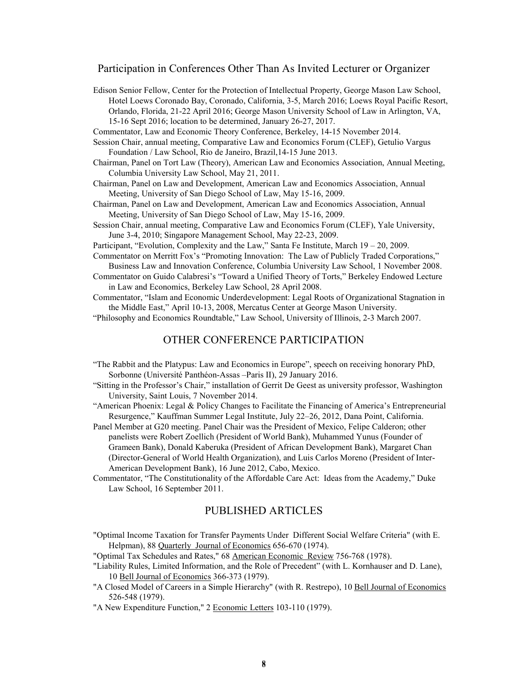#### Participation in Conferences Other Than As Invited Lecturer or Organizer

- Edison Senior Fellow, Center for the Protection of Intellectual Property, George Mason Law School, Hotel Loews Coronado Bay, Coronado, California, 3-5, March 2016; Loews Royal Pacific Resort, Orlando, Florida, 21-22 April 2016[; George Mason University School of Law](http://www.law.gmu.edu/) in Arlington, VA, 15-16 Sept 2016; location to be determined, January 26-27, 2017.
- Commentator, Law and Economic Theory Conference, Berkeley, 14-15 November 2014.
- Session Chair, annual meeting, Comparative Law and Economics Forum (CLEF), Getulio Vargus Foundation / Law School, Rio de Janeiro, Brazil,14-15 June 2013.
- Chairman, Panel on Tort Law (Theory), American Law and Economics Association, Annual Meeting, Columbia University Law School, May 21, 2011.
- Chairman, Panel on Law and Development, American Law and Economics Association, Annual Meeting, University of San Diego School of Law, May 15-16, 2009.
- Chairman, Panel on Law and Development, American Law and Economics Association, Annual Meeting, University of San Diego School of Law, May 15-16, 2009.
- Session Chair, annual meeting, Comparative Law and Economics Forum (CLEF), Yale University, June 3-4, 2010; Singapore Management School, May 22-23, 2009.

Participant, "Evolution, Complexity and the Law," Santa Fe Institute, March 19 – 20, 2009.

- Commentator on Merritt Fox's "Promoting Innovation: The Law of Publicly Traded Corporations," Business Law and Innovation Conference, Columbia University Law School, 1 November 2008.
- Commentator on Guido Calabresi's "Toward a Unified Theory of Torts," Berkeley Endowed Lecture in Law and Economics, Berkeley Law School, 28 April 2008.

Commentator, "Islam and Economic Underdevelopment: Legal Roots of Organizational Stagnation in the Middle East," April 10-13, 2008, Mercatus Center at George Mason University.

"Philosophy and Economics Roundtable," Law School, University of Illinois, 2-3 March 2007.

### OTHER CONFERENCE PARTICIPATION

- "The Rabbit and the Platypus: Law and Economics in Europe", speech on receiving honorary PhD, Sorbonne (Université Panthéon-Assas –Paris II), 29 January 2016.
- "Sitting in the Professor's Chair," installation of Gerrit De Geest as university professor, Washington University, Saint Louis, 7 November 2014.
- "American Phoenix: Legal & Policy Changes to Facilitate the Financing of America's Entrepreneurial Resurgence," Kauffman Summer Legal Institute, July 22–26, 2012, Dana Point, California.
- Panel Member at G20 meeting. Panel Chair was the President of Mexico, Felipe Calderon; other panelists were Robert Zoellich (President of World Bank), Muhammed Yunus (Founder of Grameen Bank), Donald Kaberuka (President of African Development Bank), Margaret Chan (Director-General of World Health Organization), and Luis Carlos Moreno (President of Inter-American Development Bank), 16 June 2012, Cabo, Mexico.
- Commentator, "The Constitutionality of the Affordable Care Act: Ideas from the Academy," Duke Law School, 16 September 2011.

#### PUBLISHED ARTICLES

"Optimal Income Taxation for Transfer Payments Under Different Social Welfare Criteria" (with E. Helpman), 88 Quarterly Journal of Economics 656-670 (1974).

"Optimal Tax Schedules and Rates," 68 American Economic Review 756-768 (1978).

- "Liability Rules, Limited Information, and the Role of Precedent" (with L. Kornhauser and D. Lane), 10 Bell Journal of Economics 366-373 (1979).
- "A Closed Model of Careers in a Simple Hierarchy" (with R. Restrepo), 10 Bell Journal of Economics 526-548 (1979).

"A New Expenditure Function," 2 Economic Letters 103-110 (1979).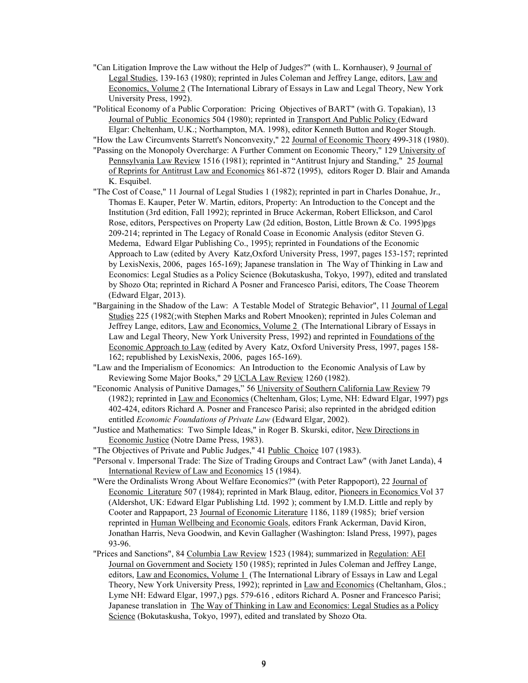"Can Litigation Improve the Law without the Help of Judges?" (with L. Kornhauser), 9 Journal of Legal Studies, 139-163 (1980); reprinted in Jules Coleman and Jeffrey Lange, editors, Law and Economics, Volume 2 (The International Library of Essays in Law and Legal Theory, New York University Press, 1992).

"Political Economy of a Public Corporation: Pricing Objectives of BART" (with G. Topakian), 13 Journal of Public Economics 504 (1980); reprinted in Transport And Public Policy (Edward Elgar: Cheltenham, U.K.; Northampton, MA. 1998), editor Kenneth Button and Roger Stough.

"How the Law Circumvents Starrett's Nonconvexity," 22 Journal of Economic Theory 499-318 (1980).

- "Passing on the Monopoly Overcharge: A Further Comment on Economic Theory," 129 University of Pennsylvania Law Review 1516 (1981); reprinted in "Antitrust Injury and Standing," 25 Journal of Reprints for Antitrust Law and Economics 861-872 (1995), editors Roger D. Blair and Amanda K. Esquibel.
- "The Cost of Coase," 11 Journal of Legal Studies 1 (1982); reprinted in part in Charles Donahue, Jr., Thomas E. Kauper, Peter W. Martin, editors, Property: An Introduction to the Concept and the Institution (3rd edition, Fall 1992); reprinted in Bruce Ackerman, Robert Ellickson, and Carol Rose, editors, Perspectives on Property Law (2d edition, Boston, Little Brown & Co. 1995)pgs 209-214; reprinted in The Legacy of Ronald Coase in Economic Analysis (editor Steven G. Medema, Edward Elgar Publishing Co., 1995); reprinted in Foundations of the Economic Approach to Law (edited by Avery Katz,Oxford University Press, 1997, pages 153-157; reprinted by LexisNexis, 2006, pages 165-169); Japanese translation in The Way of Thinking in Law and Economics: Legal Studies as a Policy Science (Bokutaskusha, Tokyo, 1997), edited and translated by Shozo Ota; reprinted i[n Richard A Posner](http://www.e-elgar.com/search_results.lasso?Author_Name_grp=Richard%20A%20Posner) and [Francesco Parisi,](http://www.e-elgar.com/search_results.lasso?Author_Name_grp=Francesco%20Parisi) editors, The Coase Theorem (Edward Elgar, 2013).
- "Bargaining in the Shadow of the Law: A Testable Model of Strategic Behavior", 11 Journal of Legal Studies 225 (1982(;with Stephen Marks and Robert Mnooken); reprinted in Jules Coleman and Jeffrey Lange, editors, Law and Economics, Volume 2 (The International Library of Essays in Law and Legal Theory, New York University Press, 1992) and reprinted in Foundations of the Economic Approach to Law (edited by Avery Katz, Oxford University Press, 1997, pages 158- 162; republished by LexisNexis, 2006, pages 165-169).
- "Law and the Imperialism of Economics: An Introduction to the Economic Analysis of Law by Reviewing Some Major Books," 29 UCLA Law Review 1260 (1982).
- "Economic Analysis of Punitive Damages," 56 University of Southern California Law Review 79 (1982); reprinted in Law and Economics (Cheltenham, Glos; Lyme, NH: Edward Elgar, 1997) pgs 402-424, editors Richard A. Posner and Francesco Parisi; also reprinted in the abridged edition entitled *Economic Foundations of Private Law* (Edward Elgar, 2002).
- "Justice and Mathematics: Two Simple Ideas," in Roger B. Skurski, editor, New Directions in Economic Justice (Notre Dame Press, 1983).
- "The Objectives of Private and Public Judges," 41 Public Choice 107 (1983).
- "Personal v. Impersonal Trade: The Size of Trading Groups and Contract Law" (with Janet Landa), 4 International Review of Law and Economics 15 (1984).
- "Were the Ordinalists Wrong About Welfare Economics?" (with Peter Rappoport), 22 Journal of Economic Literature 507 (1984); reprinted in Mark Blaug, editor, Pioneers in Economics Vol 37 (Aldershot, UK: Edward Elgar Publishing Ltd. 1992 ); comment by I.M.D. Little and reply by Cooter and Rappaport, 23 Journal of Economic Literature 1186, 1189 (1985); brief version reprinted in Human Wellbeing and Economic Goals, editors Frank Ackerman, David Kiron, Jonathan Harris, Neva Goodwin, and Kevin Gallagher (Washington: Island Press, 1997), pages 93-96.
- "Prices and Sanctions", 84 Columbia Law Review 1523 (1984); summarized in Regulation: AEI Journal on Government and Society 150 (1985); reprinted in Jules Coleman and Jeffrey Lange, editors, Law and Economics, Volume 1 (The International Library of Essays in Law and Legal Theory, New York University Press, 1992); reprinted in Law and Economics (Cheltanham, Glos.; Lyme NH: Edward Elgar, 1997,) pgs. 579-616 , editors Richard A. Posner and Francesco Parisi; Japanese translation in The Way of Thinking in Law and Economics: Legal Studies as a Policy Science (Bokutaskusha, Tokyo, 1997), edited and translated by Shozo Ota.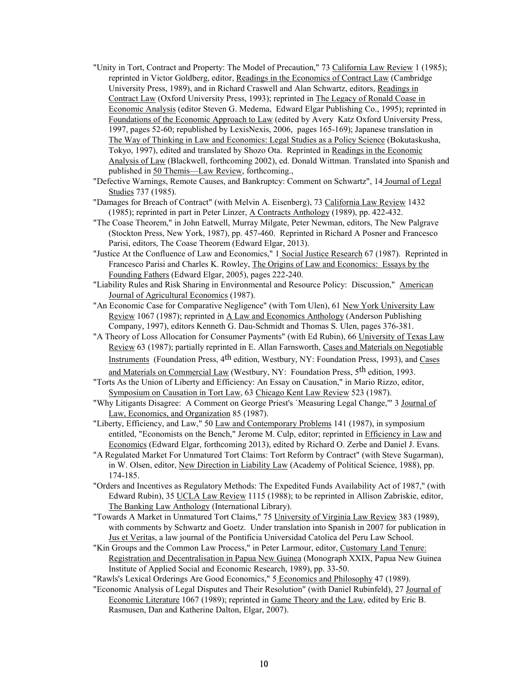- "Unity in Tort, Contract and Property: The Model of Precaution," 73 California Law Review 1 (1985); reprinted in Victor Goldberg, editor, Readings in the Economics of Contract Law (Cambridge University Press, 1989), and in Richard Craswell and Alan Schwartz, editors, Readings in Contract Law (Oxford University Press, 1993); reprinted in The Legacy of Ronald Coase in Economic Analysis (editor Steven G. Medema, Edward Elgar Publishing Co., 1995); reprinted in Foundations of the Economic Approach to Law (edited by Avery Katz Oxford University Press, 1997, pages 52-60; republished by LexisNexis, 2006, pages 165-169); Japanese translation in The Way of Thinking in Law and Economics: Legal Studies as a Policy Science (Bokutaskusha, Tokyo, 1997), edited and translated by Shozo Ota. Reprinted in Readings in the Economic Analysis of Law (Blackwell, forthcoming 2002), ed. Donald Wittman. Translated into Spanish and published in 50 Themis—Law Review, forthcoming.,
- "Defective Warnings, Remote Causes, and Bankruptcy: Comment on Schwartz", 14 Journal of Legal Studies 737 (1985).
- "Damages for Breach of Contract" (with Melvin A. Eisenberg), 73 California Law Review 1432 (1985); reprinted in part in Peter Linzer, A Contracts Anthology (1989), pp. 422-432.
- "The Coase Theorem," in John Eatwell, Murray Milgate, Peter Newman, editors, The New Palgrave (Stockton Press, New York, 1987), pp. 457-460. Reprinted in [Richard A Posner](http://www.e-elgar.com/search_results.lasso?Author_Name_grp=Richard%20A%20Posner) and [Francesco](http://www.e-elgar.com/search_results.lasso?Author_Name_grp=Francesco%20Parisi)  [Parisi,](http://www.e-elgar.com/search_results.lasso?Author_Name_grp=Francesco%20Parisi) editors, The Coase Theorem (Edward Elgar, 2013).
- "Justice At the Confluence of Law and Economics," 1 Social Justice Research 67 (1987). Reprinted in Francesco Parisi and Charles K. Rowley, The Origins of Law and Economics: Essays by the Founding Fathers (Edward Elgar, 2005), pages 222-240.
- "Liability Rules and Risk Sharing in Environmental and Resource Policy: Discussion," American Journal of Agricultural Economics (1987).
- "An Economic Case for Comparative Negligence" (with Tom Ulen), 61 New York University Law Review 1067 (1987); reprinted in A Law and Economics Anthology (Anderson Publishing Company, 1997), editors Kenneth G. Dau-Schmidt and Thomas S. Ulen, pages 376-381.
- "A Theory of Loss Allocation for Consumer Payments" (with Ed Rubin), 66 University of Texas Law Review 63 (1987); partially reprinted in E. Allan Farnsworth, Cases and Materials on Negotiable Instruments (Foundation Press, 4<sup>th</sup> edition, Westbury, NY: Foundation Press, 1993), and Cases and Materials on Commercial Law (Westbury, NY: Foundation Press, 5th edition, 1993.
- "Torts As the Union of Liberty and Efficiency: An Essay on Causation," in Mario Rizzo, editor, Symposium on Causation in Tort Law, 63 Chicago Kent Law Review 523 (1987).
- "Why Litigants Disagree: A Comment on George Priest's 'Measuring Legal Change," 3 Journal of Law, Economics, and Organization 85 (1987).
- "Liberty, Efficiency, and Law," 50 Law and Contemporary Problems 141 (1987), in symposium entitled, "Economists on the Bench," Jerome M. Culp, editor; reprinted in Efficiency in Law and Economics (Edward Elgar, forthcoming 2013), edited by Richard O. Zerbe and Daniel J. Evans.
- "A Regulated Market For Unmatured Tort Claims: Tort Reform by Contract" (with Steve Sugarman), in W. Olsen, editor, New Direction in Liability Law (Academy of Political Science, 1988), pp. 174-185.
- "Orders and Incentives as Regulatory Methods: The Expedited Funds Availability Act of 1987," (with Edward Rubin), 35 UCLA Law Review 1115 (1988); to be reprinted in Allison Zabriskie, editor, The Banking Law Anthology (International Library).
- "Towards A Market in Unmatured Tort Claims," 75 University of Virginia Law Review 383 (1989), with comments by Schwartz and Goetz. Under translation into Spanish in 2007 for publication in Jus et Veritas, a law journal of the Pontificia Universidad Catolica del Peru Law School.
- "Kin Groups and the Common Law Process," in Peter Larmour, editor, Customary Land Tenure: Registration and Decentralisation in Papua New Guinea (Monograph XXIX, Papua New Guinea Institute of Applied Social and Economic Research, 1989), pp. 33-50.
- "Rawls's Lexical Orderings Are Good Economics," 5 Economics and Philosophy 47 (1989).
- "Economic Analysis of Legal Disputes and Their Resolution" (with Daniel Rubinfeld), 27 Journal of Economic Literature 1067 (1989); reprinted in Game Theory and the Law, edited by Eric B. Rasmusen, Dan and Katherine Dalton, Elgar, 2007).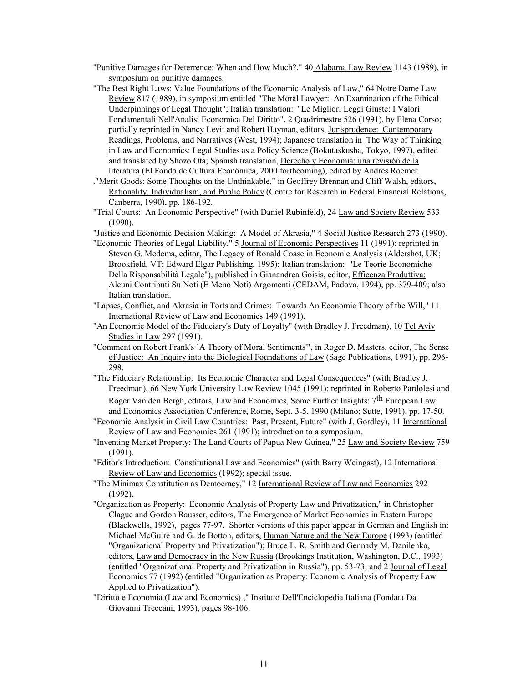- "Punitive Damages for Deterrence: When and How Much?," 40 Alabama Law Review 1143 (1989), in symposium on punitive damages.
- "The Best Right Laws: Value Foundations of the Economic Analysis of Law," 64 Notre Dame Law Review 817 (1989), in symposium entitled "The Moral Lawyer: An Examination of the Ethical Underpinnings of Legal Thought"; Italian translation: "Le Migliori Leggi Giuste: I Valori Fondamentali Nell'Analisi Economica Del Diritto", 2 Quadrimestre 526 (1991), by Elena Corso; partially reprinted in Nancy Levit and Robert Hayman, editors, Jurisprudence: Contemporary Readings, Problems, and Narratives (West, 1994); Japanese translation in The Way of Thinking in Law and Economics: Legal Studies as a Policy Science (Bokutaskusha, Tokyo, 1997), edited and translated by Shozo Ota; Spanish translation, Derecho y Economía: una revisión de la literatura (El Fondo de Cultura Económica, 2000 forthcoming), edited by Andres Roemer.
- ."Merit Goods: Some Thoughts on the Unthinkable," in Geoffrey Brennan and Cliff Walsh, editors, Rationality, Individualism, and Public Policy (Centre for Research in Federal Financial Relations, Canberra, 1990), pp. 186-192.
- "Trial Courts: An Economic Perspective" (with Daniel Rubinfeld), 24 Law and Society Review 533 (1990).
- "Justice and Economic Decision Making: A Model of Akrasia," 4 Social Justice Research 273 (1990).
- "Economic Theories of Legal Liability," 5 Journal of Economic Perspectives 11 (1991); reprinted in Steven G. Medema, editor, The Legacy of Ronald Coase in Economic Analysis (Aldershot, UK; Brookfield, VT: Edward Elgar Publishing, 1995); Italian translation: "Le Teorie Economiche Della Risponsabilità Legale"), published in Gianandrea Goisis, editor, Efficenza Produttiva: Alcuni Contributi Su Noti (E Meno Noti) Argomenti (CEDAM, Padova, 1994), pp. 379-409; also Italian translation.
- "Lapses, Conflict, and Akrasia in Torts and Crimes: Towards An Economic Theory of the Will," 11 International Review of Law and Economics 149 (1991).
- "An Economic Model of the Fiduciary's Duty of Loyalty" (with Bradley J. Freedman), 10 Tel Aviv Studies in Law 297 (1991).
- "Comment on Robert Frank's `A Theory of Moral Sentiments'", in Roger D. Masters, editor, The Sense of Justice: An Inquiry into the Biological Foundations of Law (Sage Publications, 1991), pp. 296- 298.
- "The Fiduciary Relationship: Its Economic Character and Legal Consequences" (with Bradley J. Freedman), 66 New York University Law Review 1045 (1991); reprinted in Roberto Pardolesi and Roger Van den Bergh, editors, Law and Economics, Some Further Insights: 7<sup>th</sup> European Law and Economics Association Conference, Rome, Sept. 3-5, 1990 (Milano; Sutte, 1991), pp. 17-50.
- "Economic Analysis in Civil Law Countries: Past, Present, Future" (with J. Gordley), 11 International Review of Law and Economics 261 (1991); introduction to a symposium.
- "Inventing Market Property: The Land Courts of Papua New Guinea," 25 Law and Society Review 759 (1991).
- "Editor's Introduction: Constitutional Law and Economics" (with Barry Weingast), 12 International Review of Law and Economics (1992); special issue.
- "The Minimax Constitution as Democracy," 12 International Review of Law and Economics 292 (1992).
- "Organization as Property: Economic Analysis of Property Law and Privatization," in Christopher Clague and Gordon Rausser, editors, The Emergence of Market Economies in Eastern Europe (Blackwells, 1992), pages 77-97. Shorter versions of this paper appear in German and English in: Michael McGuire and G. de Botton, editors, Human Nature and the New Europe (1993) (entitled "Organizational Property and Privatization"); Bruce L. R. Smith and Gennady M. Danilenko, editors, Law and Democracy in the New Russia (Brookings Institution, Washington, D.C., 1993) (entitled "Organizational Property and Privatization in Russia"), pp. 53-73; and 2 Journal of Legal Economics 77 (1992) (entitled "Organization as Property: Economic Analysis of Property Law Applied to Privatization").
- "Diritto e Economia (Law and Economics) ," Instituto Dell'Enciclopedia Italiana (Fondata Da Giovanni Treccani, 1993), pages 98-106.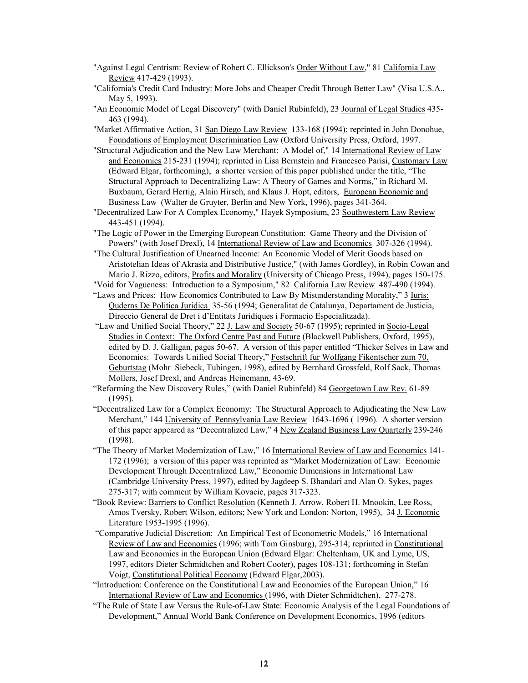- "Against Legal Centrism: Review of Robert C. Ellickson's Order Without Law," 81 California Law Review 417-429 (1993).
- "California's Credit Card Industry: More Jobs and Cheaper Credit Through Better Law" (Visa U.S.A., May 5, 1993).
- "An Economic Model of Legal Discovery" (with Daniel Rubinfeld), 23 Journal of Legal Studies 435- 463 (1994).

"Market Affirmative Action, 31 San Diego Law Review 133-168 (1994); reprinted in John Donohue, Foundations of Employment Discrimination Law (Oxford University Press, Oxford, 1997.

- "Structural Adjudication and the New Law Merchant: A Model of," 14 International Review of Law and Economics 215-231 (1994); reprinted in Lisa Bernstein and Francesco Parisi, Customary Law (Edward Elgar, forthcoming); a shorter version of this paper published under the title, "The Structural Approach to Decentralizing Law: A Theory of Games and Norms," in Richard M. Buxbaum, Gerard Hertig, Alain Hirsch, and Klaus J. Hopt, editors, European Economic and Business Law (Walter de Gruyter, Berlin and New York, 1996), pages 341-364.
- "Decentralized Law For A Complex Economy," Hayek Symposium, 23 Southwestern Law Review 443-451 (1994).
- "The Logic of Power in the Emerging European Constitution: Game Theory and the Division of Powers" (with Josef Drexl), 14 International Review of Law and Economics 307-326 (1994).

"The Cultural Justification of Unearned Income: An Economic Model of Merit Goods based on Aristotelian Ideas of Akrasia and Distributive Justice," (with James Gordley), in Robin Cowan and Mario J. Rizzo, editors, Profits and Morality (University of Chicago Press, 1994), pages 150-175.

"Void for Vagueness: Introduction to a Symposium," 82 California Law Review 487-490 (1994).

- "Laws and Prices: How Economics Contributed to Law By Misunderstanding Morality," 3 Iuris: Quderns De Politica Juridica 35-56 (1994; Generalitat de Catalunya, Departament de Justicia, Direccio General de Dret i d'Entitats Juridiques i Formacio Especialitzada).
- "Law and Unified Social Theory," 22 J. Law and Society 50-67 (1995); reprinted in Socio-Legal Studies in Context: The Oxford Centre Past and Future (Blackwell Publishers, Oxford, 1995), edited by D. J. Galligan, pages 50-67. A version of this paper entitled "Thicker Selves in Law and Economics: Towards Unified Social Theory," Festschrift fur Wolfgang Fikentscher zum 70, Geburtstag (Mohr Siebeck, Tubingen, 1998), edited by Bernhard Grossfeld, Rolf Sack, Thomas Mollers, Josef Drexl, and Andreas Heinemann, 43-69.
- "Reforming the New Discovery Rules," (with Daniel Rubinfeld) 84 Georgetown Law Rev. 61-89 (1995).
- "Decentralized Law for a Complex Economy: The Structural Approach to Adjudicating the New Law Merchant," 144 University of Pennsylvania Law Review 1643-1696 ( 1996). A shorter version of this paper appeared as "Decentralized Law," 4 New Zealand Business Law Quarterly 239-246 (1998).
- "The Theory of Market Modernization of Law," 16 International Review of Law and Economics 141- 172 (1996); a version of this paper was reprinted as "Market Modernization of Law: Economic Development Through Decentralized Law," Economic Dimensions in International Law (Cambridge University Press, 1997), edited by Jagdeep S. Bhandari and Alan O. Sykes, pages 275-317; with comment by William Kovacic, pages 317-323.
- "Book Review: Barriers to Conflict Resolution (Kenneth J. Arrow, Robert H. Mnookin, Lee Ross, Amos Tversky, Robert Wilson, editors; New York and London: Norton, 1995), 34 J. Economic Literature 1953-1995 (1996).
- "Comparative Judicial Discretion: An Empirical Test of Econometric Models," 16 International Review of Law and Economics (1996; with Tom Ginsburg), 295-314; reprinted in Constitutional Law and Economics in the European Union (Edward Elgar: Cheltenham, UK and Lyme, US, 1997, editors Dieter Schmidtchen and Robert Cooter), pages 108-131; forthcoming in Stefan Voigt, Constitutional Political Economy (Edward Elgar,2003).
- "Introduction: Conference on the Constitutional Law and Economics of the European Union," 16 International Review of Law and Economics (1996, with Dieter Schmidtchen), 277-278.
- "The Rule of State Law Versus the Rule-of-Law State: Economic Analysis of the Legal Foundations of Development," Annual World Bank Conference on Development Economics, 1996 (editors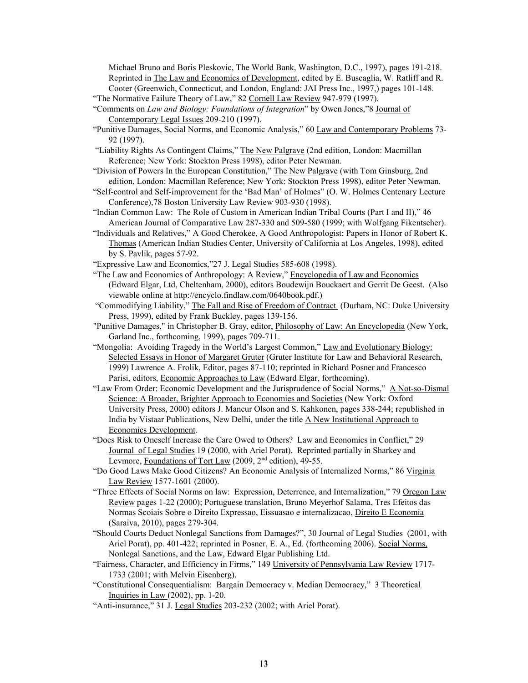Michael Bruno and Boris Pleskovic, The World Bank, Washington, D.C., 1997), pages 191-218. Reprinted in The Law and Economics of Development, edited by E. Buscaglia, W. Ratliff and R. Cooter (Greenwich, Connecticut, and London, England: JAI Press Inc., 1997,) pages 101-148.

"The Normative Failure Theory of Law," 82 Cornell Law Review 947-979 (1997).

- "Comments on *Law and Biology: Foundations of Integration*" by Owen Jones,"8 Journal of Contemporary Legal Issues 209-210 (1997).
- "Punitive Damages, Social Norms, and Economic Analysis," 60 Law and Contemporary Problems 73- 92 (1997).
- "Liability Rights As Contingent Claims," The New Palgrave (2nd edition, London: Macmillan Reference; New York: Stockton Press 1998), editor Peter Newman.
- "Division of Powers In the European Constitution," The New Palgrave (with Tom Ginsburg, 2nd edition, London: Macmillan Reference; New York: Stockton Press 1998), editor Peter Newman.
- "Self-control and Self-improvement for the 'Bad Man' of Holmes" (O. W. Holmes Centenary Lecture Conference),78 Boston University Law Review 903-930 (1998).
- "Indian Common Law: The Role of Custom in American Indian Tribal Courts (Part I and II)," 46 American Journal of Comparative Law 287-330 and 509-580 (1999; with Wolfgang Fikentscher).
- "Individuals and Relatives," A Good Cherokee, A Good Anthropologist: Papers in Honor of Robert K. Thomas (American Indian Studies Center, University of California at Los Angeles, 1998), edited by S. Pavlik, pages 57-92.
- "Expressive Law and Economics,"27 J. Legal Studies 585-608 (1998).
- "The Law and Economics of Anthropology: A Review," Encyclopedia of Law and Economics (Edward Elgar, Ltd, Cheltenham, 2000), editors Boudewijn Bouckaert and Gerrit De Geest. (Also viewable online at http://encyclo.findlaw.com/0640book.pdf.)
- "Commodifying Liability," The Fall and Rise of Freedom of Contract (Durham, NC: Duke University Press, 1999), edited by Frank Buckley, pages 139-156.
- "Punitive Damages," in Christopher B. Gray, editor, *Philosophy of Law: An Encyclopedia* (New York, Garland Inc., forthcoming, 1999), pages 709-711.
- "Mongolia: Avoiding Tragedy in the World's Largest Common," Law and Evolutionary Biology: Selected Essays in Honor of Margaret Gruter (Gruter Institute for Law and Behavioral Research, 1999) Lawrence A. Frolik, Editor, pages 87-110; reprinted in Richard Posner and Francesco Parisi, editors, Economic Approaches to Law (Edward Elgar, forthcoming).
- "Law From Order: Economic Development and the Jurisprudence of Social Norms," A Not-so-Dismal Science: A Broader, Brighter Approach to Economies and Societies (New York: Oxford University Press, 2000) editors J. Mancur Olson and S. Kahkonen, pages 338-244; republished in India by Vistaar Publications, New Delhi, under the title A New Institutional Approach to Economics Development.
- "Does Risk to Oneself Increase the Care Owed to Others? Law and Economics in Conflict," 29 Journal of Legal Studies 19 (2000, with Ariel Porat). Reprinted partially in Sharkey and Levmore, Foundations of Tort Law (2009, 2<sup>nd</sup> edition), 49-55.
- "Do Good Laws Make Good Citizens? An Economic Analysis of Internalized Norms," 86 Virginia Law Review 1577-1601 (2000).
- "Three Effects of Social Norms on law: Expression, Deterrence, and Internalization," 79 Oregon Law Review pages 1-22 (2000); Portuguese translation, Bruno Meyerhof Salama, Tres Efeitos das Normas Scoiais Sobre o Direito Expressao, Eissuasao e internalizacao, Direito E Economia (Saraiva, 2010), pages 279-304.
- "Should Courts Deduct Nonlegal Sanctions from Damages?", 30 Journal of Legal Studies (2001, with Ariel Porat), pp. 401-422; reprinted in Posner, E. A., Ed. (forthcoming 2006). Social Norms, Nonlegal Sanctions, and the Law, Edward Elgar Publishing Ltd.
- "Fairness, Character, and Efficiency in Firms," 149 University of Pennsylvania Law Review 1717-1733 (2001; with Melvin Eisenberg).
- "Constitutional Consequentialism: Bargain Democracy v. Median Democracy," 3 Theoretical Inquiries in Law (2002), pp. 1-20.
- "Anti-insurance," 31 J. Legal Studies 203-232 (2002; with Ariel Porat).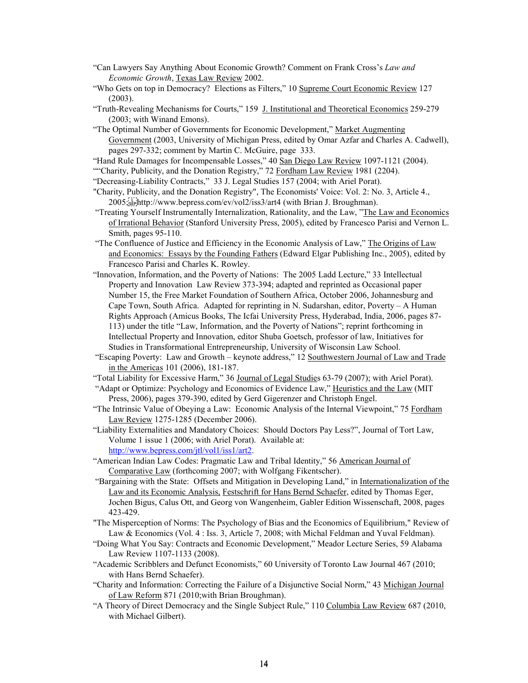- "Can Lawyers Say Anything About Economic Growth? Comment on Frank Cross's *Law and Economic Growth*, Texas Law Review 2002.
- "Who Gets on top in Democracy? Elections as Filters," 10 Supreme Court Economic Review 127 (2003).
- "Truth-Revealing Mechanisms for Courts," 159 J. Institutional and Theoretical Economics 259-279 (2003; with Winand Emons).
- "The Optimal Number of Governments for Economic Development," Market Augmenting Government (2003, University of Michigan Press, edited by Omar Azfar and Charles A. Cadwell), pages 297-332; comment by Martin C. McGuire, page 333.
- "Hand Rule Damages for Incompensable Losses," 40 San Diego Law Review 1097-1121 (2004).
- ""Charity, Publicity, and the Donation Registry," 72 Fordham Law Review 1981 (2204).
- "Decreasing-Liability Contracts," 33 J. Legal Studies 157 (2004; with Ariel Porat).
- "Charity, Publicity, and the Donation Registry", The Economists' Voice: Vol. 2: No. 3, Article 4., 2005;
http://www.bepress.com/ev/vol2/iss3/art4 (with Brian J. Broughman).
- "Treating Yourself Instrumentally Internalization, Rationality, and the Law, "The Law and Economics of Irrational Behavior (Stanford University Press, 2005), edited by Francesco Parisi and Vernon L. Smith, pages 95-110.
- "The Confluence of Justice and Efficiency in the Economic Analysis of Law," The Origins of Law and Economics: Essays by the Founding Fathers (Edward Elgar Publishing Inc., 2005), edited by Francesco Parisi and Charles K. Rowley.
- "Innovation, Information, and the Poverty of Nations: The 2005 Ladd Lecture," 33 Intellectual Property and Innovation Law Review 373-394; adapted and reprinted as Occasional paper Number 15, the Free Market Foundation of Southern Africa, October 2006, Johannesburg and Cape Town, South Africa. Adapted for reprinting in N. Sudarshan, editor, Poverty – A Human Rights Approach (Amicus Books, The Icfai University Press, Hyderabad, India, 2006, pages 87- 113) under the title "Law, Information, and the Poverty of Nations"; reprint forthcoming in Intellectual Property and Innovation, editor Shuba Goetsch, professor of law, Initiatives for Studies in Transformational Entrepreneurship, University of Wisconsin Law School.
- "Escaping Poverty: Law and Growth keynote address," 12 Southwestern Journal of Law and Trade in the Americas 101 (2006), 181-187.
- "Total Liability for Excessive Harm," 36 Journal of Legal Studies 63-79 (2007); with Ariel Porat).
- "Adapt or Optimize: Psychology and Economics of Evidence Law," Heuristics and the Law (MIT Press, 2006), pages 379-390, edited by Gerd Gigerenzer and Christoph Engel.
- "The Intrinsic Value of Obeying a Law: Economic Analysis of the Internal Viewpoint," 75 Fordham Law Review 1275-1285 (December 2006).
- "Liability Externalities and Mandatory Choices: Should Doctors Pay Less?", Journal of Tort Law, Volume 1 issue 1 (2006; with Ariel Porat). Available at: [http://www.bepress.com/jtl/vol1/iss1/art2.](http://www.bepress.com/jtl/vol1/iss1/art2)
- "American Indian Law Codes: Pragmatic Law and Tribal Identity," 56 American Journal of Comparative Law (forthcoming 2007; with Wolfgang Fikentscher).
- "Bargaining with the State: Offsets and Mitigation in Developing Land," in Internationalization of the Law and its Economic Analysis, Festschrift for Hans Bernd Schaefer, edited by Thomas Eger, Jochen Bigus, Calus Ott, and Georg von Wangenheim, Gabler Edition Wissenschaft, 2008, pages 423-429.
- "The Misperception of Norms: The Psychology of Bias and the Economics of Equilibrium," Review of Law & Economics (Vol. 4 : Iss. 3, Article 7, 2008; with Michal Feldman and Yuval Feldman).
- "Doing What You Say: Contracts and Economic Development," Meador Lecture Series, 59 Alabama Law Review 1107-1133 (2008).
- "Academic Scribblers and Defunct Economists," 60 University of Toronto Law Journal 467 (2010; with Hans Bernd Schaefer).
- "Charity and Information: Correcting the Failure of a Disjunctive Social Norm," 43 Michigan Journal of Law Reform 871 (2010;with Brian Broughman).
- "A Theory of Direct Democracy and the Single Subject Rule," 110 Columbia Law Review 687 (2010, with Michael Gilbert).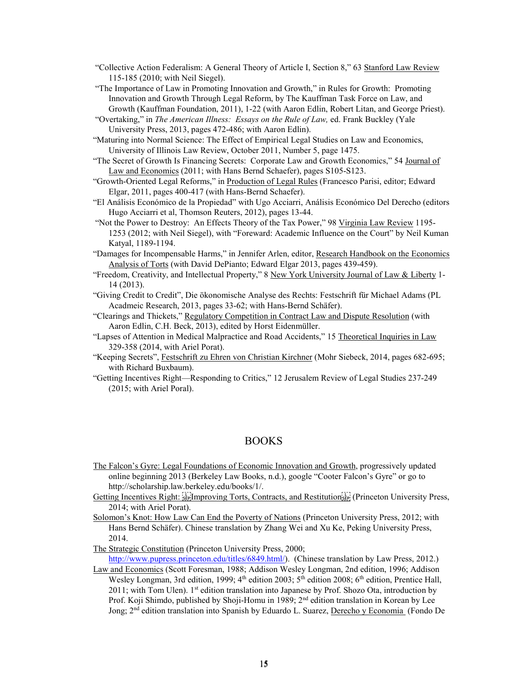- "Collective Action Federalism: A General Theory of Article I, Section 8," 63 Stanford Law Review 115-185 (2010; with Neil Siegel).
- "The Importance of Law in Promoting Innovation and Growth," in Rules for Growth: Promoting Innovation and Growth Through Legal Reform, by The Kauffman Task Force on Law, and Growth (Kauffman Foundation, 2011), 1-22 (with Aaron Edlin, Robert Litan, and George Priest).
- "Overtaking," in *The American Illness: Essays on the Rule of Law,* ed. Frank Buckley (Yale University Press, 2013, pages 472-486; with Aaron Edlin).
- "Maturing into Normal Science: The Effect of Empirical Legal Studies on Law and Economics, University of Illinois Law Review, October 2011, Number 5, page 1475.
- "The Secret of Growth Is Financing Secrets: Corporate Law and Growth Economics," 54 Journal of Law and Economics (2011; with Hans Bernd Schaefer), pages S105-S123.
- "Growth-Oriented Legal Reforms," in Production of Legal Rules (Francesco Parisi, editor; Edward Elgar, 2011, pages 400-417 (with Hans-Bernd Schaefer).
- "El Análisis Económico de la Propiedad" with Ugo Acciarri, Análisis Económico Del Derecho (editors Hugo Acciarri et al, Thomson Reuters, 2012), pages 13-44.
- "Not the Power to Destroy: An Effects Theory of the Tax Power," 98 Virginia Law Review 1195-1253 (2012; with Neil Siegel), with "Foreward: Academic Influence on the Court" by Neil Kuman Katyal, 1189-1194.

"Damages for Incompensable Harms," in Jennifer Arlen, editor, Research Handbook on the Economics Analysis of Torts (with David DePianto; Edward Elgar 2013, pages 439-459).

- "Freedom, Creativity, and Intellectual Property," 8 New York University Journal of Law & Liberty 1-14 (2013).
- "Giving Credit to Credit", Die ökonomische Analyse des Rechts: Festschrift für Michael Adams (PL Acadmeic Research, 2013, pages 33-62; with Hans-Bernd Schäfer).
- "Clearings and Thickets," Regulatory Competition in Contract Law and Dispute Resolution (with Aaron Edlin, C.H. Beck, 2013), edited by Horst Eidenmüller.
- "Lapses of Attention in Medical Malpractice and Road Accidents," 15 Theoretical Inquiries in Law 329-358 (2014, with Ariel Porat).
- "Keeping Secrets", Festschrift zu Ehren von Christian Kirchner (Mohr Siebeck, 2014, pages 682-695; with Richard Buxbaum).
- "Getting Incentives Right—Responding to Critics," 12 Jerusalem Review of Legal Studies 237-249 (2015; with Ariel Poral).

### BOOKS

- The Falcon's Gyre: Legal Foundations of Economic Innovation and Growth, progressively updated online beginning 2013 (Berkeley Law Books, n.d.), google "Cooter Falcon's Gyre" or go to http://scholarship.law.berkeley.edu/books/1/.
- Getting Incentives Right: Elmproving Torts, Contracts, and Restitution [1] (Princeton University Press, 2014; with Ariel Porat).
- Solomon's Knot: How Law Can End the Poverty of Nations (Princeton University Press, 2012; with Hans Bernd Schäfer). Chinese translation by Zhang Wei and Xu Ke, Peking University Press, 2014.

The Strategic Constitution (Princeton University Press, 2000;

[http://www.pupress.princeton.edu/titles/6849.html/\)](http://www.pupress.princeton.edu/titles/6849.html/). (Chinese translation by Law Press, 2012.)

Law and Economics (Scott Foresman, 1988; Addison Wesley Longman, 2nd edition, 1996; Addison Wesley Longman, 3rd edition, 1999;  $4<sup>th</sup>$  edition 2003;  $5<sup>th</sup>$  edition, Prentice Hall, 2011; with Tom Ulen). 1st edition translation into Japanese by Prof. Shozo Ota, introduction by Prof. Koji Shimdo, published by Shoji-Homu in 1989; 2<sup>nd</sup> edition translation in Korean by Lee Jong; 2<sup>nd</sup> edition translation into Spanish by Eduardo L. Suarez, Derecho y Economia (Fondo De